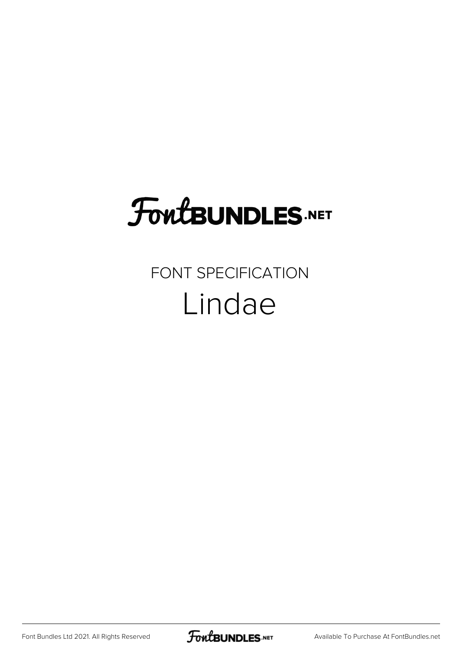## **FoutBUNDLES.NET**

## FONT SPECIFICATION Lindae

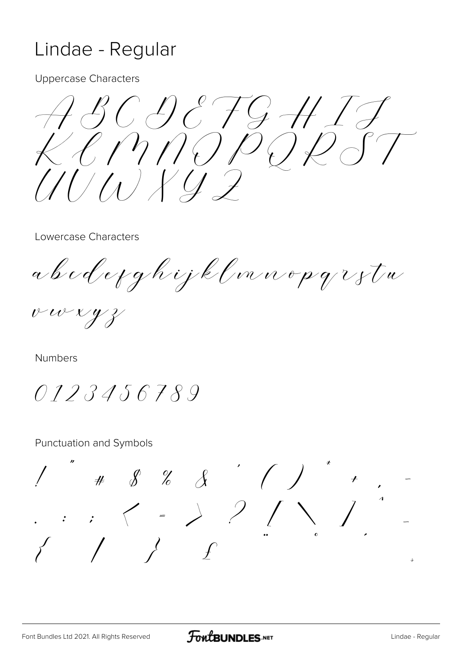## Lindae - Regular

**Uppercase Characters** 

ABCDEFGH1J  $K(\eta \cap \rho \cap \rho \cap \rho$  $111111147$ 

Lowercase Characters

a b c d e y g h i j k l m n o p q z z t u

vwxyz

**Numbers** 

0123456789

**Punctuation and Symbols** 

 $\cdots$   $( - ) 2 / 2$ ى<br>ت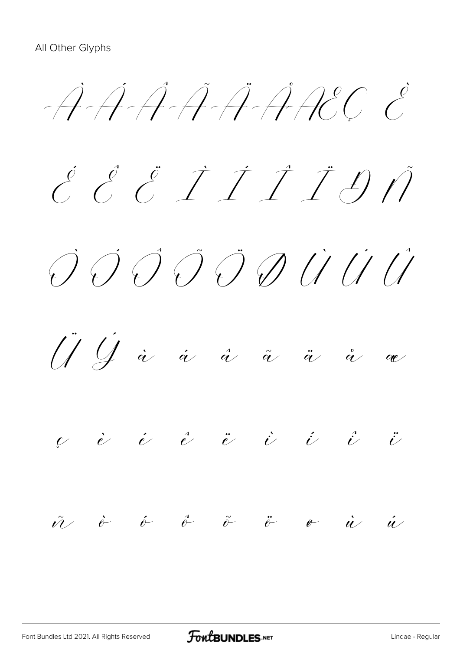ÀÁÂÃÄÅÆÇ È  $\acute{c}$   $\acute{c}$   $\acute{c}$   $\acute{c}$   $\acute{c}$   $\acute{c}$   $\acute{c}$   $\acute{c}$   $\acute{c}$   $\acute{c}$   $\acute{c}$   $\acute{c}$   $\acute{c}$   $\acute{c}$   $\acute{c}$   $\acute{c}$   $\acute{c}$   $\acute{c}$   $\acute{c}$   $\acute{c}$   $\acute{c}$   $\acute{c}$   $\acute{c}$   $\acute{c}$   $\acute{c}$   $\acute{c}$   $\acute{c}$   $\acute{c$ Ò Ó Ô Õ Ö Ø Ù Ú Û  $U$   $\dot{U}$  à á å å ä  $\begin{array}{ccccccccccccccccc} \nu & \dot{e} & \dot{e} & \dot{e} & \ddot{e} & \dot{e} & \dot{e} & \dot{e} & \dot{e} & \dot{e} & \dot{e} & \end{array}$ ñ ò ó ô õ ö ø ù ú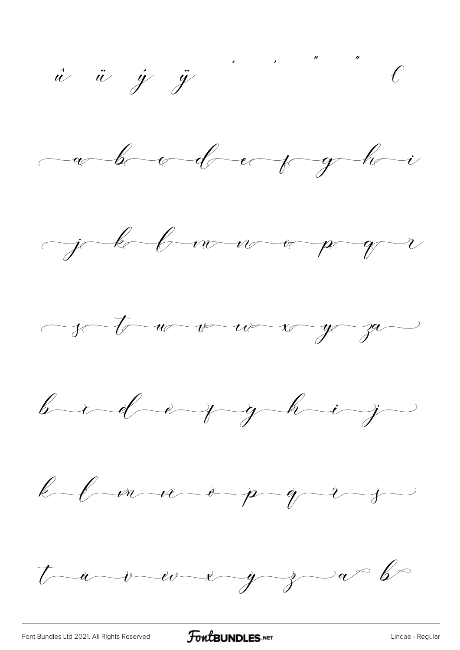